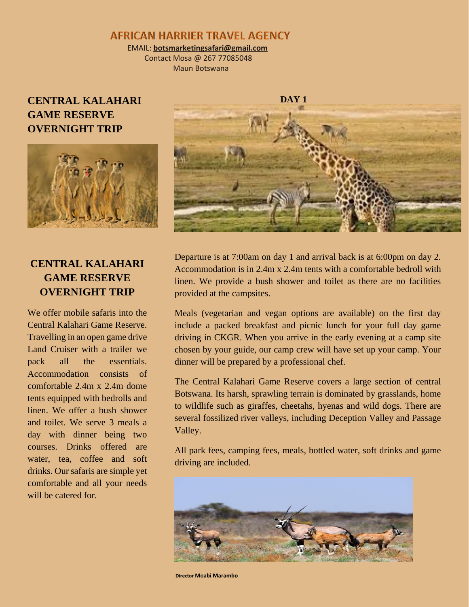## **AFRICAN HARRIER TRAVEL AGENCY**

 EMAIL: **botsmarketingsafari@gmail.com** Contact Mosa @ 267 77085048

Maun Botswana

# **CENTRAL KALAHARI GAME RESERVE OVERNIGHT TRIP**



# **CENTRAL KALAHARI GAME RESERVE OVERNIGHT TRIP**

We offer mobile safaris into the Central Kalahari Game Reserve. Travelling in an open game drive Land Cruiser with a trailer we pack all the essentials. Accommodation consists of comfortable 2.4m x 2.4m dome tents equipped with bedrolls and linen. We offer a bush shower and toilet. We serve 3 meals a day with dinner being two courses. Drinks offered are water, tea, coffee and soft drinks. Our safaris are simple yet comfortable and all your needs will be catered for.



Departure is at 7:00am on day 1 and arrival back is at 6:00pm on day 2. Accommodation is in 2.4m x 2.4m tents with a comfortable bedroll with linen. We provide a bush shower and toilet as there are no facilities provided at the campsites.

Meals (vegetarian and vegan options are available) on the first day include a packed breakfast and picnic lunch for your full day game driving in CKGR. When you arrive in the early evening at a camp site chosen by your guide, our camp crew will have set up your camp. Your dinner will be prepared by a professional chef.

The Central Kalahari Game Reserve covers a large section of central Botswana. Its harsh, sprawling terrain is dominated by grasslands, home to wildlife such as giraffes, cheetahs, hyenas and wild dogs. There are several fossilized river valleys, including Deception Valley and Passage Valley.

All park fees, camping fees, meals, bottled water, soft drinks and game driving are included.



**Director Moabi Marambo**